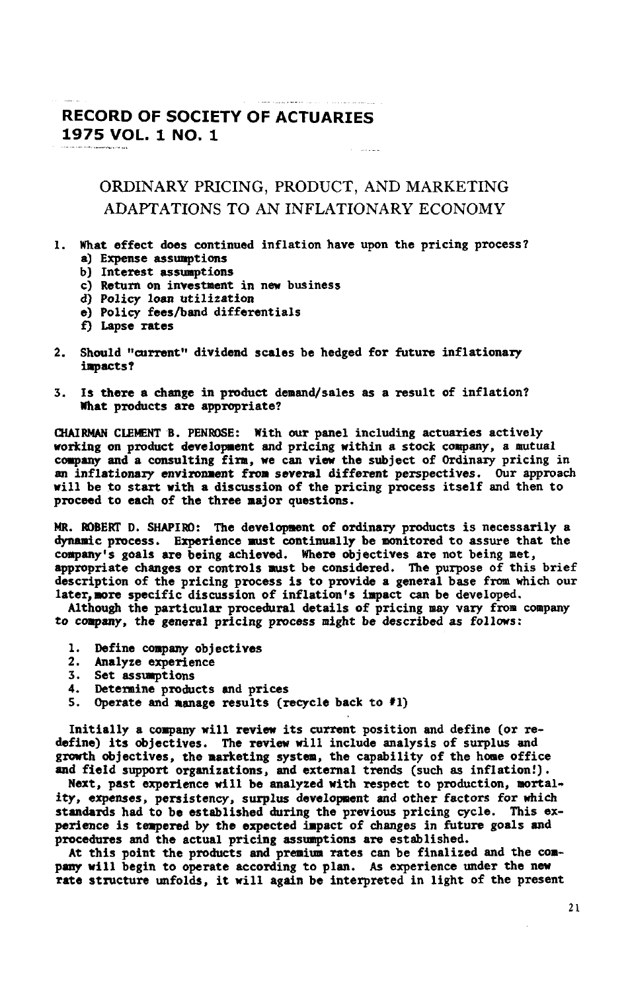## **RECORD OF SO**CI**ETY OF A**C**TU**A**R**I**E**S **1**9**75 VOL**. **1 NO**. **I**

## ORDIN**A**RY PRICIN**G**, PRODUCT, A**N**D M**A**RKETING ADAPTATIONS TO AN INFLATIONARY ECONO**M**Y

- **I.** W**ha**t **effect does con**t**inued infla**t**ion have upon the pr**i**cin**g **pr**o**cess? a**) **Expense** assum**p**t**ions**
	- b) I**nteres**t **assu**m**p**ti**ons**
	- $c)$  **Return** on investment in new business
	- **d**) **Pol***i***c***y* **loan** ut**ili***z*at**ion**
	- **e) Policy fees***/*b**and d**i**ffe**r**e**r**nt**i**als**
	- £) Lapse rat**es**
- 2. **Should** ',**curren**t**', d**i**v**i**dend scales be hed**g**ed fo**r f**u**t**ure** in**fla**ti**onary** impacts?
- **5. Is** th**e**r**e a ch**ang**e** i**n produ**ct **de**n**and***/***sales as a resul**t **o**f i**n**flati**o**n? W**ha**t **produc**t**s a**r**e approp**ri**a**te?

**QtAIJt**\_ **CL**\_**4T B. PE**NRO**SE: W**i**th ou**r **panel includ**i**n**g **actuaries ac**ti**vel**y **workin**g **on produc**t **develop**m**en**t **and pr**i**c**i**n**g w**i**t**h**i**n a s**t**ock company***,* **a mu**t**ual** company and a consulting firm, we can view the subject of Ordinary pricing in **an** i**n**f**l**ati**onar**y **env**irn**nn**an**t** f**rom** *s***everal d**i**f**f**erent per***s***pectives. Our approach will be** t**o s**t**art with a d**i**scuss**i**on o**f t**he pric**i**n**g **process** its**el**f **and then to proceed** t**o ea**ch **of the** t**hree najo**r **que**st**i***o***ns.**

**MR. ROBERTD. SHAPI**RO**: The devel***o***ps**on**t of ord**i**na**ry **produc**t**s** i**s necessa**ri**ly a dy**\_*u***mic p**ro**cess.** E*x***perience aus**¢ **cont**i**nually be n***o***nitored** t**o assure that the conpany**\_**s** g**oals are being ach**i**e**v**ed.** W**here objec**tiv**es are no**t **bein**g B**et***,* **appropr**i**a**t**e** ch**an**g**es or con**tro**ls aus**t **be considered.** Th**e purpose of** t**h**i**s b**ri**e**f **descrip**ti**on of the pr**i**c**i**ng proce**s**s** is **to prov**i**de a** g**eneral base £**rn**m wh**ich **our la**t**er**\_**nore** s**pecif**i**c discussion o£ infl**at**i**onfs **i**m**pac**t **can be developed.**

**Al**t**hough** t**he parti**cu**lar proce**dura**l de**t**ails of pricin**g s**a**y v**ar***y* **i**ro**n co**m**pany** t**o** c**o**m**pany**, **the general pric**i**ng p**ro**ces**s **sigh**t **be described** as **foll**o**w**s**:**

- **1. De**f**ine conpa**w/ **ob**j**ectives**
- **2**. A**nalyze experience**
- **5.** Set assumptions<br>4. Determine produ
- **4. Deter**m**ine pro**du**c**t**s and** pri**ces**
- 5. Operat**e and** lan**a**g**e results (recycle back to #1)**

Ini**t**i**all***y* **a** co**npa***n***y w**i**ll re**vi**ew** i**ts curre**nt **pos**iti**o**n **an**d **def**i**ne (or rede**f**ine) i**ts **objec**t**i**v**es.** Th**e** r**ev**iew **will** i**nclude analys**i**s o**f s**u**rp**lus** an**d** g**rowth** ob**jec**ti**ve**s*,* t**he narke**ti**ng sys**t**e**m, t**he capab**i**lit***y* **o**f t**he h**on**e o**ffi**ce** an**d** f**ield** s**upport or**gan**iza**t**i**on**s,** an**d external** tre**nd***s* **(su**ch **a***s* i**n**f**la**t**ion**!**).**

**Next***,* **pa**st **e**xperi**ence** wi**ll be analyzed wi**th re**spe***c***t** t**o p**rodu**c**t**ion***,* **uortal-**I**C***y,* **e**xp*e***n***ses,* **pers**i*s*t**en**cy, *s***urpl**us d**e**v**elopmen**t **and other** f**ac***t***or***s* f**or** wh**i**ch *s*tan**dards had** t**o** *b***e e***s***tabl**i**shed** du**rin**g t**he prev**i**ou***s* **pricing cycle.** Th**is expert**an**ce** i*s* **tempe**red **b**y **the expected t**l**p**a**c**t **o**f chang**e***s* i**n** *f***utu**re **goals and p**ro**cedu**re*s* an**d** t**he ac**t**ual prici**ng as**stmptio**ns **are es**tab**lished.**

**A**t **thi***s* **point** th**e pro**du**c**t**s and premium rates c**an **be** f**inalized and** t**he conpany** w**ill begin** t**o o**pe**ra**t**e acco**rd**ing** t**o pl**an**. A***s* **e**xp**erience under** t**he new rate s**t**ruc**tu**re** unf**old***s*, **it will again be interpreted in li**g**h**t **o**£ t**he pre***s***ent**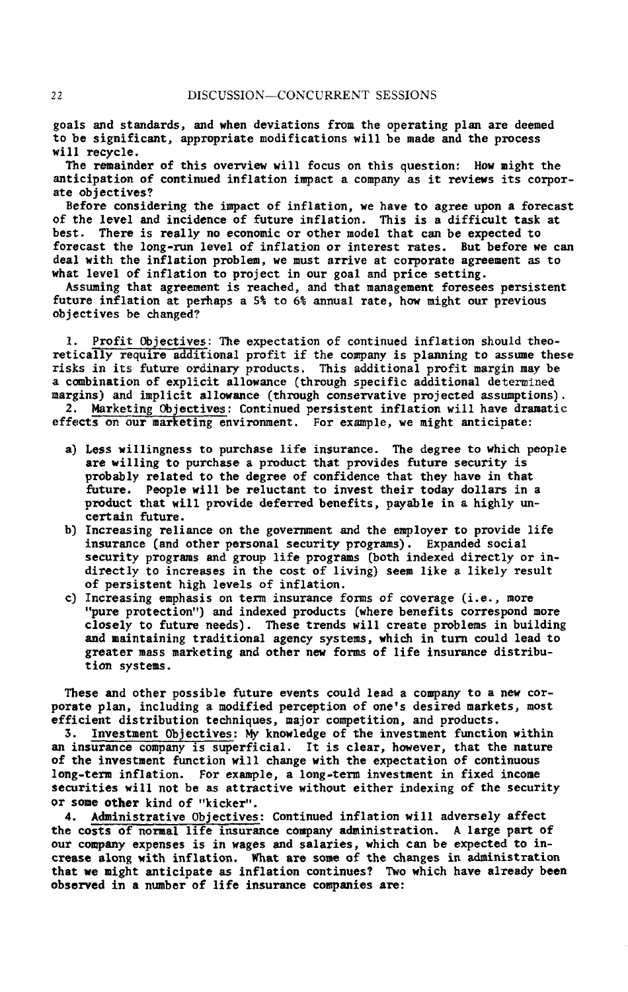**goals and standards***,* an**d** w**hen dev**i**a**ti**ons** f**r**om **the operat**i**ng** p**lan are** d**ee**m**ed** t**o** be si**gn**ifican**t**, **a**pp**ropr**i**ate** m**od**i**f**ic**a**ti**o**ns will **be** m**ade** an**d the** p**r**oc**e**ss will **re***c***ycle.**

Th**e re**m**ainder o**f **th**is **ove**rvi**e**w wi**l**l **focu**s **on t**hi**s ques**t**io**n: H**o**w mi**ght th**e anti**ci**p**at**i**on o**f **c**onti**nu**e**d** infl**at**ion **i**mp**act a** c**o**mpany as i**t re**views its corp**o**r**ate** objecti**ves***?*

**Before considering the** i*m***pac**t **o**f i**n**f**lat**i**on***,* w**e have to agree upon a** f**orecast** of **t**h**e level** and i**nc**iden**ce o**f f**uture** i**n**f**lat**i**o**n. Thi**s** is a diffi**cu**l**t t**ask **at** b**est.** Th**ere is real**ly **no eco**n**om**i**c or other** m**ode**l **that c**an b**e expected** t**o** f**orecast** t**he long-run level o**f **inflation or interest rates. But before** w**e can** deal wi**th** t**he** i**n**flati**o**n pro**b**l**e**m, w**e** mu**st arr**i**ve at c**o**rp**o**rate a**g**ree**m**e**n**t a**s **t**o **wha**t **lev**el of inflation **t**o p**r**oj**e**c**t** i**n** o**ur g**o**a**l **a**n**d pr**i**c**e **sett**in**g**.

Assumi**ng that agree**m**ent** is **reac**h**e**d, and th**at** man**age**m**en**t f**ore**s**ee**s p**ers**i**ste**nt f**u**t**ure** i**n**fl**a**ti**o**n **a**t p**er**h**a**ps **a** 5% **t**o 6% ann**ua**l r**a**t**e**, h**o**w mi**g**h**t ou**r p**re**vi**ous** objectives **be c**h**ang**e**d***?*

I. Pr**ofi**t (**Yojectives:** Th**e e**x**pec**t**at**ion **o**f **cont**i**nue**d inflation sh**ou**l**d** th**eor**e**t**ic**a**lly **re**q**uire** a**dd**i**t**i**o**n**a**l p**ro**fit if th**e co**mpany is pl**s**aning t**o** assum**e t**h**es**e risk**s** in its fut**u**r**e o**rdinary p**ro**d**uc**ts. This **add**i**t**i**o**nal profi**t** m**arg**in m**a**y **be** a **c**\_**b**inati**o**n **o**f **e**xplicit al**lo**wanc**e** (**t**hr**o**u**gh** sp**eci**fic a**dd**i**t**io**na**l **de**termine**d** margins) a**n**d imp**l**i**c**it all**o**wanc**e** (thr**oug**h c**on**s**e**rva**t**iv**e** proje**c**ted ass**u**mp**t**i**o**ns).

2**.** M**ar**k**e**tin**g Ob**je**ct**i**v**es**:** C**o**nti**nu**e**d** p**er**sis**t**en**t** i**n**fl**a**tion **w**ill **have dra**m**a**ti**c** eff**ec**t\_ **O**n o**ur** mi**r**k**eti**n**g e**n**v**ironmen**t**. F**or ex**amp**le**, w**e** m**ight** anticip**a**te:

- **a**) **Le**s**s** wil**l**i**ng**n**e**ss **to purch**as**e** l**i**fe **insur**an**ce**. Th**e d**e**gree to** which p**eo**pl**e** are wi**l**l**ing** t**o pu**r**ch**as**e a** pro**duc**t **that provide**s f**uture** s**ecu**r**it***y* i**s probabl**y **related to** t**he degree o**f **con**fi**dence** *t***hat they** h**ave** i**n that** f**u**t**ure, People** w**ill be** r**e**lu**cta**n**t to** i**nvest t**h**eir today dollars** i**n a** pro**duct t**h**at** will pro**v**id**e** d**e**f**e**rr**ed bene**f**it**s, **pa**y**a**bl**e** i**n a h**ighly un**ce**rt**a**in **f**u**ture**.
- b) In**c**r**ea**sing r**e**lian**ce** on th**e** gov**er**nm**e**n**t** and th**e e**mploy**er** to **p**rovi**de l**if**e** insu**r**an**ce** (**a**nd o**t**h**er** p**e**rson**a**l s**ec**uri**ty p**rog**ra**ms). Hxpand**e**d so**c**i**a**l s**ec**uri**t**y p**r**og**r**ams and g**r**oup lif**e pr**og**ra**ms [b**ot**h ind**e**x**e**d dire**ctl**y or indir**ec**tly **t**o in**c**reas**e**s in **t**h**e c**os**t** o**f** living**)** s**ee**m lik**e** a lik**el**y **re**sul**t** of **pe**rsist**e**n**t** hig**h** l**e**v**e**ls of in**flat**ion**.**
- **c**) In**cre**asing **e**mph**a**sis on t**er**m insuran**ce f**orms of **c**ov**e**r**a**g**e** (i.**e**., more "**p**u**re** p**r**o**tect**ion"**) a**nd **i**nd**e**x**e**d **pr**odu**ct**s **[**wh**ere** b**e**n**ef**i**t**s **c**or**re**spond mo**re c**los**e**ly to fu**t**u**re** n**eed**s**)**. Th**e**s**e** t**re**nds will **create pr**obl**e**ms **i**n bui**l**ding an**d** m**a**in**ta**ining tr**a**di**t**ional **a**g**e**n**c**y syst**e**ms, whi**c**h in **t**urn **c**ould **lead t**o g**reater** mass m**ar**k**et**ing **a**nd o**t**h**e**r new **f**o**r**ms of li**fe** insuran**c**e dis**tr**ib**u**tion sys**te**ms.

Th**e**s**e a**nd o**t**h**er p**ossibl**e** fu**t**ur**e eve**n**t**s **c**ou**l**d l**ea**d **a c**omp**a**ny **t**o **a** n**e**w **cor**por**ate** p**la**n, in**c**luding **a** modif**ie**d p**ercepti**on o**f** on**e**'s d**e**si**re**d m**ar**k**et**s, mos**t eff**i**c**i**e**nt dis**tr**i**but**ion t**ec**h**n**iqu**es,** m**a**jo**r c**o**mp**etition, **a**nd p**r**odu**ct**s.

**5**. **Investment Objectives:** M**y** know**le**d**ge o**f th**e** inv**e**s**t**m**e**nt fun**ct**ion wi**t**hin an insu**r**an**c**e **co**mp**a**ny is su**pe**rfi**c**i**al.** It is **c**l**ear**, how**e**v**er**, th**at t**h**e** n**at**u**re** of **the i**n**ve**s**tment** f**unct**io**n** wi**ll ch**ang**e** wi**t**h t**he e**x**pecta**t**ion** of **c**on**t**in**u**o**u**s long-**ter**m infl**at**ion. Fo**r** ex**a**m**p**le, **a** long-**te**rm inv**e**s**t**m**e**n**t** in fix**e**d in**c**om**e** se**c**u**r**i**t**ies **w**i**ll** no**t** be **a**s **attract**iv**e** wi**th**o**ut e**i**ther** ind**ex**ing **o**f **the** s**ecur**i**t**y o**r** som**e** oth**er** kind of "ki**c**k**er**"**.**

**4**. Administ**rative Objectives:** Con**t**inu**e**d infl**at**ion will **a**dv**er**s**el**y **a**ff**ect** th**e** costs or **n**o**r**m**al l**ife i**n**s**ur**an**ce c**omp**an**y **a**dm**in**ist**ra**tion. A **lar**g**e** p**ar**t of ou**r c**ompany **e**x**pe**ns**e**s is in w**a**g**e**s **a**nd s**a**l**ar**i**e**s, whi**c**h **ca**n b**e e**xp**ecte**d **t**o i**ncrea**s**e alon**g wi**t**h i**nflat**io**n**. Wh**at are s**ome of th**e c**hang**e**s in **a**dmi**n**is**tra**tio**n t**h**at** w**e** mig**h**t anti**c**i**pate a**s infl**at**ion **c**on**t**inu**e**s**?** Two whi**c**h h**a**v**e a**lr**ea**dy b**ee**n **o**b**se**rv**ed** i**n a nu**m**ber** of l**i**f**e in**su**ra**n**ce comp**an**ie**s **a**re**:**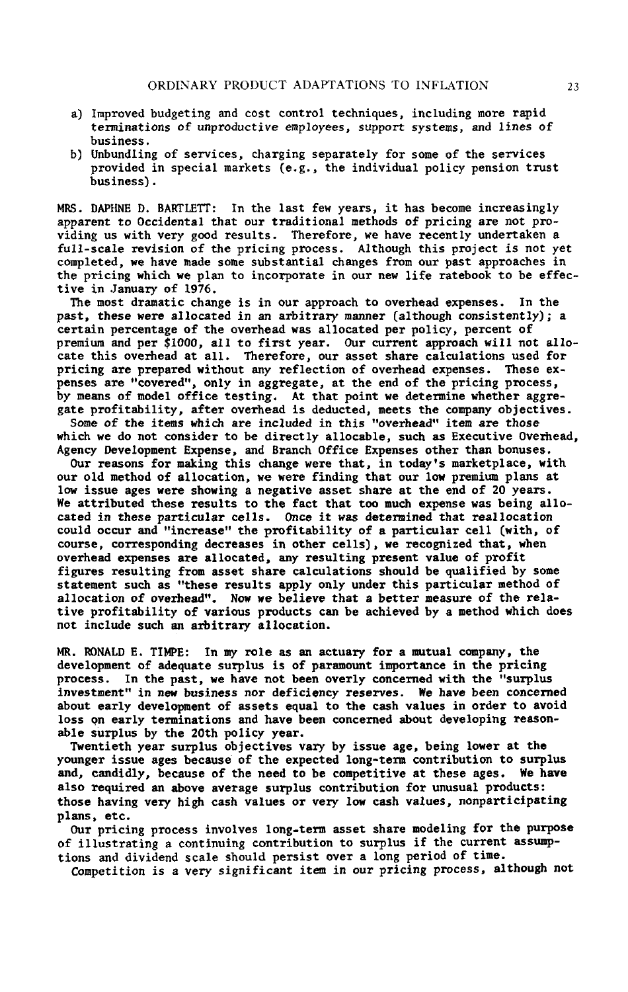- **a**) Improv**e**d budgeting **a**nd **c**os**t c**ontrol t**ec**hn**i**ques, in**c**luding mor**e** r**a**pid **ter**min**at**ions of unp**r**odu**c**tiv**e e**mploy**e**es, support sys**te**ms, and lines of busin**e**ss.
- b**) U**nbundling o**f** s**er**vi**ce**s, **c**h**a**rging s**e**p**a**r**a**t**e**ly fo**r** som**e** o**f** th**e** se**r**v**ice**s p**r**ovid**e**d in sp**ec**i**a**l m**a**rk**et**s **(e**.g., th**e** individu**a**l poli**c**y pension t**r**us**t** busin**e**ss**)**.

M**R**S**.** DAPHN**E** D**.** BARTL**E**TT: In **t**h**e** l**a**s**t** few y**ea**rs, it h**a**s be**c**ome in**cr**e**a**singly appar**en**t **to** O**cci**d**e**n**t**a**l th**at **our tr**a**d**i**t**ional m**et**h**o**ds of p**r**i**c**ing **are n**o**t** p**r**ovid**i**ng us **wit**h v**er**y good r**e**sults. Th**e**refore, w**e** h**a**v**e rece**ntly und**e**rt**a**k**e**n **a** f**u**ll-s**ca**l**e** r**e**vision of th**e** pri**c**ing pr**oce**ss**.** Altho**u**gh this pr**o**je**ct** is not y**e**t **c**ompl**ete**d, **we** h**a**v**e** m**a**d**e** som**e** subs**t**an**tia**l **c**h**a**ng**e**s f**ro**m our p**a**st **a**pp**r**o**ac**h**e**s in th**e** p**r**i**c**ing which w**e pla**n to in**c**orpor**a**t**e** in our n**e**w lif**e** r**ate**book **t**o be eff**ect**iv**e** in J**a**nu**ary** of 1976.

Th**e** most dr**a**m**at**i**c c**hange is i**n** o**u**r **a**ppro**ac**h **t**o ov**e**rh**ea**d **e**xp**e**ns**e**s**.** In **t**h**e** pas**t**, **the**s**e** w**ere a**ll**oc**at**e**d in **a**n **a**rbit**rar**y man**ner** (**a**ltho**u**gh **co**nsi**stent**ly)**; a certa**in p**erce**n**ta**g**e** of **t**h**e** ov**er**h**ea**d **w**as **a**llo**cate**d **pe**r po**l**i**c**y, **perce**n**t** of pr**e**mium **a**nd p**er \$**1000, all to fi**r**st y**ear**. Our **c**ur**re**nt **a**p**p**ro**ac**h will not **a**llo**c**a**te** thi**s** ove**r**h**ea**d **at all.** Th**e**r**e**for**e**, ou**r a**ss**e**t sh**are ca**l**c**ul**at**ions us**e**d fo**r** pricing **are pre**p**are**d **wit**h**o**u**t** any **re**f**lecti**o**n** of **o**v**er**h**ead e**x**pe**ns**e**s**. The**s**e e**x**penses are** "**covere**d", **onl**y **in a**g**gregate***,* **a**t t**he end o**f t**he pricin**g **p**ro**ces**s, **by** m**ean**s **o**f m**o**d**el o**ff**ice** te**sting.** A**t** t**hat** po**int we de**t**erm**i**ne whe**t**her ag**g**regate** p**ro**fi**tabil**it**y***,* **a**ft**er overhead** is **deducte**d*,* m**eets** t**he co**m**pan**y **object**i**ve**s**.**

Som**e** of **the** it**e**ms w**hi**ch **are** i**ncluded** i**n** t**h**is "**over**h**ead**" i**te**m **are** t**h**os**e** wh**i**ch **we** do not **c**ons**i**d**er** to b**e** di**rect**ly **a**llo**ca**bl**e**, su**c**h **a**s **E**x**ec**ut**i**v**e** Ov**er**h**ea**d, Ag**e**n**c**y D**e**v**e**lopm**e**n**t** E**xpe**ns**e**, **a**nd B**ra**nch O**f**fi**ce Expe**ns**e**s o**t**h**e**r th**a**n bonus**e**s**.**

Ou**r** r**e**asons **f**o**r** m**a**king this **c**h**a**ng**e were t**h**at**, in tod**a**y's m**a**rk**etp**l**ace**, **w**i**t**h our old m**et**hod of **a**l**l**o**cat**ion, **we were fi**nd**i**ng **t**h**at** our low premium **plan**s **at** lo**w** is**s**u**e a**g**e**s w**ere sh**owing **a** neg**a**tiv**e a**ss**et** sh**a**re **at t**h**e e**nd of **2**0 **year**s. W**e a**t**t**ribu**te**d th**e**s**e re**sul**t**s **t**o th**e fact t**h**at t**oo much **e**xp**e**ns**e** w**a**s b**e**ing **a**llo**ca**t**e**d in t**he**s**e** p**ar**ti**cular c**el**l**s**.** On**ce** it was **dete**rmi**ne**d **t**h**at** real**l**o**cat**io**n c**ould o**cc**u**r** and "**i**n**cre**as**e**" **t**h**e p**rofit**a**bil**i**ty **o**f **a pa**rticu**lar ce**ll **(**w**i**th, of **c**ou**r**s**e**, **c**o**rre**s**p**ond**i**ng d**ecre**as**e**s **i**n oth**er ce**lls**),** w**e** re**c**ogni**ze**d th**at**, **w**h**e**n ov**er**h**ea**d **e**x**pe**ns**e**s **are al**lo**ca**t**e**d, any **re**su**l**t**i**ng **pre**s**e**n**t** v**a**lu**e** of p**r**of**i**t figu**re**s **re**su**lt**ing f**r**om as**se**t s**hare ca**l**c**ul**at**ions should b**e** qu**a**lifi**e**d by som**e** st**a**t**e**m**e**n**t** such **a**s "**t**h**e**s**e re**sults **appl**y only und**er** this **par**t**i**cul**ar** m**e**thod of **a**llo**cat**ion of **o**v**er**h**e**ad,'**.** Now w**e** b**el**i**e**v**e** th**a**t **a** b**etter** m**ea**su**re o**f **t**h**e re**l**a**ti**v**e p**r**o**f**it**a**bility of **var**io**us pr**odu**c**ts **c**an b**e ac**hi**e**v**e**d by **a** m**et**hod w**hic**h do**e**s no**t i**n**c**lud**e** su**ch** an **ar**b**it**r**a**ry **a**llo**cati**on.

MR. RO**N**ALD **E.** TIMP**E: I**n my **r**o**le a**s an **act**u**a**ry fo**r a** mu**t**u**a**l **c**om**p**any, **t**h**e** d**e**v**e**l**op**m**e**nt of **a**d**e**qu**ate** su**rpl**us **i**s of **par**amoun**t** import**a**n**ce** in **t**h**e pr**i**c**i**n**g p**r**o**ce**ss**. I**n **t**h**e** past, w**e** h**a**v**e** not b**ee**n o**ver**l**y c**on**cer**n**e**d wi**t**h **t**h**e** "surplus inv**e**stm**e**nt" in **new** b**u**si**nes**s n**or** d**e**fi**c**i**e**n**c**y **re**s**e**rv**e**s. W**e ha**v**e** b**ee**n **c**on**cer**n**e**d **a**bou**t ear**ly d**e**v**e**lo**p**m**e**nt of **a**ss**e**ts **e**qu**a**l to th**e c**ash v**a**lu**e**s **i**n o**r**d**er** to **av**o**i**d loss on **earl**y t**e**rmin**a**t**i**ons and h**a**v**e** b**ee**n **c**on**cer**n**e**d **a**bou**t** d**e**v**e**lo**p**in**g rea**son**a**bl**e** s**u**rplus by th**e 2**0th po**l**i**cy year**.

Tw**e**n**t**i**et**h y**ear** su**rp**lus obj**ec**tiv**e**s **vary** by i**ss**u**e a**g**e,** b**ei**ng **l**o**wer at t**h**e** young**er i**ssu**e a**g**e**s b**eca**us**e** of th**e e**x**pec**t**e**d **l**ong-t**er**m **co**nt**r**ibuti**o**n **to s**u**rp**lu**s a**nd, **c**andidly, b**eca**us**e** of th**e** n**ee**d to b**e c**omp**e**ti**tive a**t **t**h**e**s**e a**g**e**s**.** W**e** h**ave a**lso requi**re**d an abo**ve avera**g**e** su**r**plus **c**ont**ri**bu**t**ion fo**r** unusu**al pr**odu**ct**s**:** t**h**os**e** h**a**ving v**e**ry **hi**gh **ca**sh v**al**u**e**s o**r** v**e**ry **l**o**w ca**sh v**al**u**e**s, non**pa**rti**c**ip**ati**ng **p**lans**, e**t**c**.

Ou**r prici**ng p**r**o**ce**ss **i**n**vo**l**ve**s long-**ter**m ass**e**t sh**are** mod**el**ing **f**o**r** th**e p**u**rp**os**e** of i**ll**us**trat**ing a **c**on**ti**nuing **c**on**t**r**i**but**i**on **t**o surp**l**us if th**e c**ur**re**n**t** assum**pt**i**o**ns **a**nd d**i**vid**e**nd s**ca**l**e** should **per**s**i**st o**ver a l**ong **peri**od of t**i**m**e**.

C**o**m**pet**i**t**ion **i**s **a** v**e**ry sign**i**f**ica**n**t** it**e**m in ou**r** p**r**i**c**ing pro**ce**ss, **a**l**t**ho**u**gh n**ot**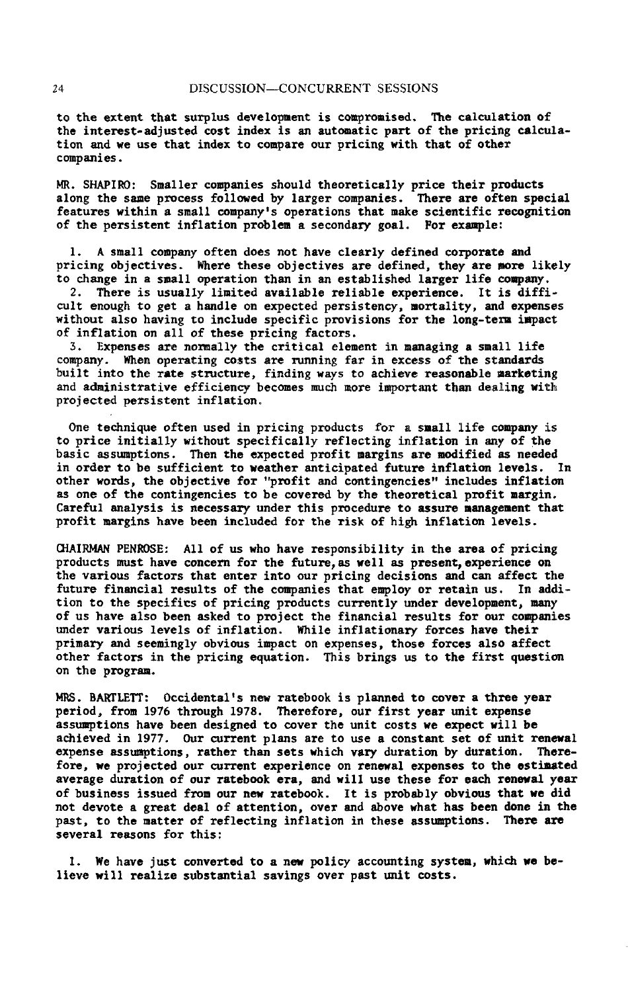**t**o **the e**x**tent t**h**at surp**l**us develop**m**e**n**t** i**s compro**mi**sed. The calcu**l**ation o**f **the interes**t-**ad**just**e**d **cost index** i**s an auto**m**at**i**c par**t **o**f t**he pr**i**c**i**ng calcula**t**io**n and w**e use that** i**ndex** t**o co**m**pare our** p**r**ic**i**ng w**i**t**h that of other co**m**pan**i**es.**

MR**. S**H**A**P**I**R**O: S**m**aller co**mp**an**i**es shoul**d **theore**ti**cally** p**r**i**ce their products along** t**he sa**m**e** p**ro***c***e**s**s** f**ollowed b**y **larger** com**p**ani**es. There are often** s**pec**i**al** f**ea**t**u**r**es wit**hi**n a small** com**p**any'**s operat**i**ons tha**t m**ake sc**i**en**t**i**fi**c re**co**gnit**i**on o**f t**he pers**i**s**t**en**t i**n**f**la**tl**on proble**m **a** s**econdary goal.** F**or exa**m**ple:**

**1. A s**m**a**l**l co**mp**a**ny **o**ft**en doe**s **not have clearly de**fi**ned co**rp**orate and pr**ici**ng ob**j**ec**ti**ves. Where** t**he***s***e object**i**ves are de**fi**ne**d, t**he**y **are** m**ore l**i**k**e**ly to ch**an**ge** in **a** sm**all opera**ti**o**n t**h**an **in an es**tab**l**i**shed larger l**lf**e** comp**any.**

2. There is usually limited available reliable experience. It is difficul**t enoug**h **to ge**t **a** han**dle on e**xp**ecte**d **per**sis**ten***c***y**, m**or**ta**l**i**ty**, an**d expen**s**e**s w**i**t**ho**ut als**o** h**av**i**ng to** i**nclude** s**pec**ifi**c** pro**vi**si**ons** f**or** th**e lon**g**-**t**er**m im**pact** *o*f in**flat**i**o**n **o**n **a**l**l o**f **the**s**e pricing** f**actors.**

**3.** Ex**pense**s **a**r**e nor**m**al**l**y** t**he cr**iti**c**al **ele**m**ent** i**n** man**ag**i**ng a s**mal**l l**if**e** com**pa**ny**.** Wh**e**n **o**p**e**rating **co**sts **a**re ru**n**n**in**g f**a**r in **e**x**ce**ss **o**f **the** stan**da**rds b**ui**lt into t**he rate** st**ru**ctu**re**, **f**i**n**ding **wa**ys **t**o **a**chi**e**v**e rea**s**ona**b**l**e m**ar**ketin**g** and **a**dministr**at**iv**e e**ffi**c**i**e**n**cy** b**ec**om**e**s mu**ch** mo**re** imp**o**rtan**t** t**h**an **deal**i**n**g w**i**t**h** p**r**oj**ecte**d **pe**rsis**te**nt infl**ati**o**n**.

On**e** t**e**chniqu**e** oft**e**n us**e**d in p**r**i**c**ing pro**d**u**c**ts **f**or **a** sm**a**l**l** li**fe co**m**pany £**s to **p**ri**ce** inlti**a**lly wi**t**h**o**ut sp**ec**ifi**ca**lly r**e**f**lec**t**i**n**g** infl**a**t**i**on in any **o**f th**e** b**a**si**c** assum**pt**ions. Th**e**n **t**h**e e**x**pected** profit m**a**rg**i**ns ar**e** modifi**e**d **a**s n**ee**d**e**d in o**r**d**er** to b**e** s**u**f**f**i**c**i**e**nt t**o** w**ea**th**er** an**tici**p**a**t**e**d fu**t**u**re** infl**a**tion **levels. I**n o**ther** w**or**ds, th**e o**bj**ective** f**or** "**p**rof**it** an**d c**ont**in**g**e**n**cies**" **incl**ud**e**s **in**fl**ati**on **a**s on**e** of th**e c**on**ti**ng**e**n**cie**s to b**e** co**vere**d by th**e t**h**e**o**re**t**ical p**rofit m**ar**gin**.** C**aref**u**l a**n**a**ly**s**i**s** is **nece**ss**ary** und**er th**is pro**ce**dure to ass**ure** man**a**g**e**m**e**nt th**at** p**rofit** m**ar**g**i**ns h**a**v**e** b**een i**n**clu**d**e**d fo**r** t**he r**isk **o**f **h**igh **in**f**lat**i**o**n **le**v**el**s**.**

O**IA**IP**J4**AN P**E**NRO**SE:** Ali of us who h**ave re**sponsibi**l**i**t**y in **the area** of p**r**i**c**i**n**g **pr**odu**ct**s mu**s**t h**a**v**e c**on**cer**n fo**r** th**e f**u**t**u**re**tas w**e**l**l a**s **pre**s**e**ntp**e**x**pe**r**ie**n**ce** on **t**h**e** v**ar**ious f**act**o**r**s **tha**t **e**n**ter** in**t**o ou**r prici**ng d**ecis**ions and **c**an **a**ff**e**c**t** th**e** future finan**cial result**s of t**he co**m**p**ani**e**s **tha**t **e**m**pl**o**y** o**r re**t**ain u**s**. I**n **a**d**ditio**n to th**e** s**pec**if**i**cs **of pricing p**rod**uc**ts **currentl**y **under develop**m**en**t, m**an**y **o**f **u**s h**ave** als**o been** ask**e**d t**o p**ro**jec**t t**he** fi**nanci**al **result**s f**or our co**mpani**e**s u**n**d**er** v**ar**ious **le**v**els o**f **inflat**i**on.** W**hile** i**n**f**la**t**iona**ry f**orces have t**h**e**i**r pri**m**a**ry an**d** s**ee**m**ingly o**b**viou**s imp**act on e**xp**en**s**es,** t**hose** f**o**r**ces** als**o a**ff**ec**t **o**t**her** f**ac**t**or**s **in the pricin**g **equation. This bring**s us **to** t**he** fi**rs**t **que**s**tion o**n t**he progra**m**.**

MRS**.** BA**RTLET**t**:** O**cc**i**den**t**al**'s **ne**w **ra**t**ebook is** p**l**an**ned** t**o cover a** t**h**ro**e year period***,* **fr**om **19**76 t**hrou**g**h 1978.** Th**ere**f**ore***,* **o**u**r f**i**r**s**t year un**i**t e**xp**ense a**ss**u**m**p**t**ion**s **have** b**een desig**n**ed** t**o** co**ver** t**he** un**i**t *c***os**ts w**e e**x**pec**t **will be achieve**d **i**n **197**7**, O**u**r curren**t **pl**an**s are** t**o u**s**e** a **con**st**an**t **se**t **o**f un**i**t **renew**al **expense** ass**u**m**p**ti**ons***,* **ra**t**her** t**h**an s**e**t**s wh**ich **v**ary d**ura**tion b**y dura**tion. *T***here**fore, we projected our current experience on renewal expenses to the estimated **average** d**ura**ti**on o**f *o***ur ra**t**ebook era***,* an**d w**i**l**l **use** t**hese** f**or ea**ch **ren**ew**al year o**f b**usiness** i**s**s**ued** from **our new ra**t**eboo**k**. It** i**s** pro**b**ab**l**y **o**b**vious tha**t **we** d**id no**t **devo**t**e a** great **d**eal **o**f **a**tt**en**ti**on***,* **over** and ab**ove what h**as **been don**e i**n** t**he pa**s**t, to** th**e** m**a**tt**er** *o*f **re**f**lec**t**ing** i**n**f**la**tion i**n** t**hese** ns**s**Lm**p**ti**on**s**. There are several re**as**on**s f**or th**i**s:**

I**.** W**e** h**ave** j**u**st con**ver**t**e**d t**o a new pol**i**cy accoun**ti**ng sys**t**e**m*,* **wh**i**ch we believe w**i**ll re**ali*z***e** s**ub**st**an**ti**al** s**avin**g**s over** p**a**st **un**it **co**st**s.**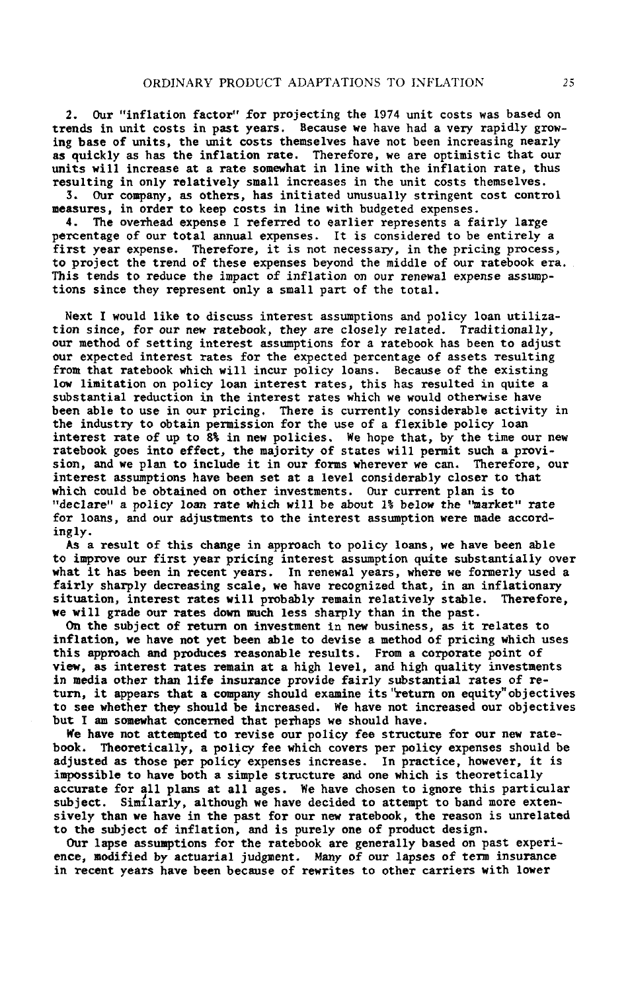**2. Our** "i**n**f**la**ti**on** f**ac**t**or**" f**or projec**t**i**n**g** t**he** 19*7***4** u**n**it **c**osts w**a**s **ba**s**e**d o**n trend***s* i**n unit costs in past** y**ears**. B**ecause we have** h**a**d **a very ra**p**i**dly g**rowing ba**s**e of units***,* **the unit costs the**ms**elves have not been increasing nearly as qu**i**ckl**y **as ha**s **the** i**nflat**i**on rate. Therefore***,* **we a**r**e** optimisti**c** t**hat** o**u**r units will increase at a rate somewhat in line with the inflation rate, thus **result**i**ng** i**n on**l**y** r**e**l**a**ti**vel**y **s**m**all** i**nc**r**ease**s i**n** t**he unit costs the**ms**elves.**

**3. Ou**r **co**m**pan**y*,* as **other**s**, ha**s i**n**iti**a**t**ed unu**s**uall***y* **st**r**in**g**en**t **cost contr**o**l** m**easures, in order to keep costs** i**n line w**i**th bud**g**eted expenses.**

**4. The overhead expense I referred to ea**r**l**i**e**r **represents a fa**i**r**ly l**a**r**ge percentage o**f **ou**r **total annua**l **expen**s**es. It** is **considered to be entirely a** fi**rs**t **year e**x**pense.** T**here**fo**re**, it is not **necessa**ry*,* i**n the pr**i**c**i**ng** p**rocess***,* t**o pro**j**ect th**e t**rend o**f **these e**xp**enses be**y**on**d th**e middle** of o**ur ra**t**e**b**ook era.** This tends to reduce the impact of inflation on our renewal expense assump**ti**o**n**s **s**i**nce t**h**e**y **represent** o**nl**y **a** sm**all part of** th**e t**o**tal.**

Next I would lik**e to di**s**c**uss **interest a**s**s**u**mpt**io**n**s **a**n**d** p**olic**y l**oa**n u**tili**z**a**t**ion** sin**ce***,* **for** *ou***r** n**ew r**a**tebook***,* **the***y* **are clo***se*l*y* **related.** T**ra**d**itio**n**ally***,* **our me**thod of s**e**tting int**ere**s**t ass**umptions f**or a ra**t**e**b**oo**k h**a**s b**ee**n to **a**djus**t** our **ex**p**ecte**d in**tere**st **ra**t**es** fo**r** th**e ex**p**ec**t**ed perce**n**ta**g**e o**f ass**e**ts **re**su**lti**ng f**r**om **t**h**a**t **ra**t**e**book **w**hi**c**h **wil**l **i**n**c**u**r** pol**ic**y lo**a**ns. B**eca**us**e** of th**e e**x**i**st**i**ng **l**ew l**i**m**itat**ion on **p**oli**c**y lo**a**n in**tere**st r**ate**s, th**i**s h**a**s **re**sult**e**d **i**n qu**i**t**e a** subs**t**ant**ia**l **re**du**cti**on in th**e i**n**tere**st **ra**tes wh**ic**h w**e** would oth**erwi**s**e** h**a**v**e** b**ee**n **ab**l**e** t**o** us**e** in o**ur** p**ric**ing**.** Th**ere** is **c**u**r**r**e**nt**l**y **c**onsid**era**b**le ac**tivity in th**e** indus**t**ry to obt**a**in **per**mission fo**r** th**e** us**e** of **a** fl**e**xibl**e** po**l**i**c**y **l**o**a**n **i**n**t**e**re**s**t ra**te **o**f **up to** 8**% i**n n**ew** pol**ici**es*,* **W**e h**ope that***,* by **the time our** ne**w ratebook goe**s **into e**ff**ect***,* **the** m**aj**o**rit**y of s**tate**s wi**ll pe**rm**i**t s**uch a pro**v**i**s**ion***,* **and** w**e** p**lan to include it in our** f**or**ms w**herever we can.** Th**ere**f**ore**, **our** i**ntere**s**t** ass**u**mp**t**i**on**s **have** b**ee**n s**et** a**t a le**v**el con**si**der**ably **c**los**er** to th**at** wh**ic**h **c**ould b**e** obt**a**in**e**d on o**t**h**er i**n**ve**s**t**m**e**n**t**s. Ou**r c**u**r**r**e**n**t** plan **£**s **t**o "declare" a policy loan rate which will be about 1% below the "market" rate fo**r l**o**a**ns, **a**nd ou**r a**djus**t**m**ent**s **t**o **t**h**e i**n**tere**st assum**pt**ion **were** m**a**d**e acc**o**r**d**i**n**g**ly.

As **a** r**e**sul**t** of **thi**s **c**hang**e i**n **a**p**p**ro**ac**h to **p**o**lic**y **l**oans, **we** h**a**v**e** b**ee**n **a**b**le** to **i**m**p**rov**e** ou**r** f**ir**s**t year pric**ing **i**nt**ere**st **a**ssump**t**ion **q**u**ite** subs**ta**nt**ia**lly o**ver** wh**a**t it has b**ee**n in **rece**n**t** y**ear**s. In **re**n**e**w**a**l y**ear**s, **w**h**ere** w**e** fo**r**m**er**ly us**e**d **a** f**ai**rly sh**arply** d**ecrea**s**i**ng s**ca**l**e**, w**e** h**a**v**e rec**ogni**ze**d **t**h**at**, **i**n an **i**nfl**at**ion**a**ry situ**a**t**ion**, **i**n**tere**s**t ra**t**e**s w**i**ll prob**a**b**l**y **re**m**a**in **re**l**ati**v**e**ly s**ta**b**le.** Th**ere**fo**re**, w**e w**i**l**l g**ra**d**e** ou**r rate**s do**w**n much l**e**ss sh**a**rp**l**y **t**h**a**n i**n t**h**e** p**a**s**t**.

On th**e** subj**ec**t of return on **i**n**ve**s**t**m**e**n**t £**n n**ew** bus**i**n**e**ss, as **it re**l**ate**s to inf**la**t**i**on, w**e** h**a**v**e** no**t yet** b**ee**n **a**bl**e t**o d**evi**s**e a** m**et**hod of **prici**ng whi**ch** us**e**s **th**is **a**p**p**ro**a**ch an**d pr**odu**ce**s **re**ason**a**bl**e re**s**u**l**t**s. F**r**om **a c**orporat**e** po**i**n**t** of **v**ie**w**, as in**tere**st r**ate**s **re**m**ai**n **a**t **a** h**i**gh **level**, **a**nd h**i**gh **q**u**a**li**t**y **i**nv**e**stm**e**n**t**s in m**e**di**a** o**t**h**er t**h**a**n li**fe** insu**ra**n**ce pr**ovid**e fa**irly subs**ta**n**t**i**a**l **ra**t**e**s **o**f **re**tu**r**n**,** i**t a**p**pear**s th**at a c**om**pa**ny should **e**x**a**min**e** its '\_**e**t**u**rn **on e**qui**ty"**obj**ecti**v**e**s **t**o s**ee w**h**e**th**er t**h**ey** shou**ld** b**e** in**crea**s**e**d**.** W**e** h**a**v**e** not **i**n**crea**s**e**d ou**r** ob**jective**s bu**t** I **a**m som**ew**h**at c**on**ce**rn**e**d **that** p**er**h**ap**s w**e** should h**a**v**e**.

We have not attempted to revise our policy fee structure for our new rate-<br>book. Theoretically, a policy fee which covers per policy expenses should b book**.** Th**e**o**re**ti**call**y, **a pol**i**c**Y f**ee w**h**ic**h **co**v**er**s **pe**r pol**ic**y **e**xp**e**ns**es** should b**e a**djust**e**d **a**s thos**e** p**e**r poli**cy e**xp**e**ns**e**s in**crea**s**e**. In pra**c**ti**ce**, ho**we**v**er**, it is im**p**o**ss**ibl**e t**o h**ave** both **a** slmpl**e s**t**r**u**ct**ur**e a**nd on**e** whi**c**h is th**e**or**et**i**ca**l**l**y **acc**u**ra**t**e** for **al**l **pla**ns a**t a**ll **a**g**e**s**.** W**e** h**a**v**e c**hos**e**n to ignor**e t**his p**a**rti**c**ul**ar** subject. Similarly, although we have decided to attempt to band more extensi**ve**ly than w**e ha**v**e i**n th**e pa**st fo**r** ou**r** new **r**at**e**book, th**e** r**ea**son **i**s unr**ela**ted to th**e** subj**ec**t of **i**nfl**at**ion, and is pu**re**ly on**e** of p**r**odu**ct** d**e**sign**.**

Ou**r** laps**e** assum**p**t**i**ons fo**r the** rat**eb**ook **are ge**n**era**l**ly** bas**e**d on p**a***s*t **e**xp**er**i**e**n**ce***,* modified **by ac**t**uar**i**al** ju**d**gm**ent.** M**a**n**y** of **our** l**a**ps**e**s of **te**rm ins**ura**n**ce** in **rece**n**t** y**ea**rs h**a**v**e** b**ee**n b**ec**ans**e** of r**ewr**i**te**s to o**t**h**er ca**rr**ie**rs **wit**h low**er**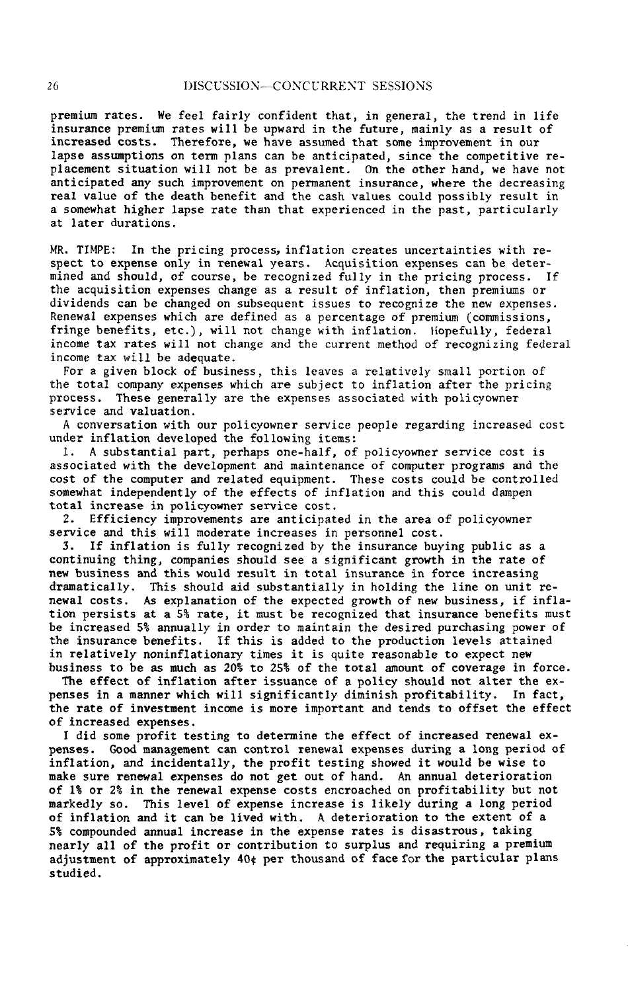pr**e**mium rates. We feel fairly confident that*,* in general*,* the trend in life ins**ur**a*n***ce** premium **ra**tes will be upward in **t**he futu**r**e*,* mainly as a result of increa*s*ed costs. Therefore*,* we have assumed that some improvement in our lapse a**s**sumptions **o**n **t**erm plans **c**a**n** b**e** an**t**icipated*,* sin**ce t**he **co**mp**et**i**t**i**v**e replacement situation will not be as preval*e*nt. On the other hand*,* we have not a**nt**i**c**ipated any s**uch** imp**rovem**e**nt on** p**e**rma**ne**nt ins**ur**an**ce***,* wh**e**r**e t**he de**c**r**e**asing real value of the death benefit **a**nd the cash values could possibly result in a som*e*what hi*g*her lapse rate than that experienced in the past*,* particularly at later durations.

MR. TIMPE: In the pricing process, inflation creates uncertainti*e*s with respect to **e**xpense only in r**e**newal years. Acquisition expenses can be determined and sh**o**uld*,* of course*,* be recogni*z*ed fully in the pricing process. If the acquisiti**o**n ex*p*enses change as a result of inflati**o**n*,* th**e**n premiums or di*v*id*e*nds can be changed on subsequent issues to recogni*z***e** the new **e**xpenses. Ren**e**wal exp**e**nses which are d*e*fined as a percentage of premium **(**c**o**mmis**s**ions*,* fringe benefits*,* etc.)*,* will not change with inflation*.* Hopefully*,* federal income tax rates will not change and the current method of recogni*z*ing federal income tax will be adequate.

For a given block of business, this leaves a relatively small portion of the total company expenses which are subject to inflation after the pricing<br>process. These generally are the expenses associated with policyowner pr**oc**ess. These generally are the e**x**penses associated wi**t**h policyowner :servic**e** and valuation.

A conversation with our policyowner service people regarding increased cost unde**r** inflation developed the following items:

I. A substantial part, perhaps one-half, of polieyowner service cost is associated with the development and maintenance of computer programs and the cost of the computer and related equipment. These costs could be controlled somewhat independently of the effects of inflation and this could dampen tot**a**l in**c**r**e**as**e** in p**o**l**ic**y**o**wner s**e**rvice **co**st.

**2**. Efficien**c**y improvements ar**e** anti**c**ip**a**ted in the area of policyown**e**r s**e**rvi**c**e and this will moderate in**c**reases in personnel **c**ost.

3. **I**f infl**at**ion is fully re**c**ognized by the insu**r**an**c**e buying publi**c** as a **c**ontinuing thin**g**, **c**omp**a**nies should see a significant growth in the **ra**t**e** of new business and this w**o**uld result in total insurance in force increasing d**r**smatically. This should aid substantially in holding the line on unit renew**a**l costs. As explanation of the expected growth of new business, if inflation pe**r**sists at a 5% rate, it must be recognized that insurance benefits must be inc**r**eased 5% annually in order to maintain the desired purchasing power of the insurance b**e**nefits. If this is added to the production levels attained in relatively noninflationary times it is quite reasonable to expect new business to be as much as 20% to 25% of the total amount of coverage in force.

Th**e** e**f**f**e**ct of infl**a**tio**n a**ft**e**r iss**ua**nc**e** of a pol**i**cy should **no**t alte**r** t**he e**xpenses in a manner which will significantly diminish profit**a**bility. In f**ac**t, the **r**ate of inves**t**ment in**c**ome is mo**r**e import**a**nt and ten**d**s to offset the eff**ec**t of inc**r**e**a**sed ex**p**enses.

I did some profit testing to determine the effect of increased renewal ex-<br>penses. Good management can control renewal expenses during a long period o **pen**s**e**s. Good **ma**na**ge**m**e**nt c**a**n **c**ontr**o**l r**e**new**a**l **e**xp**e**nses **duri**ng **a** lo**ng pe**riod of inflation, **a**nd in**c**identally, the p**r**ofit testing showed it would b**e** wise t**o** make sure **r**enewal expenses do not get out of hand. An annual dete**r**ior**a**tion of i% o**r** 2% in **t**he renewal expense **c**osts encroa**c**hed on pr**o**fitability b**u**t not m**a**rkedly so. This level **o**f **e**xp**e**ns**e** increase is likely durin**g** a lon**g** p**er**iod **o**f inflation and it can **b**e liv**e**d with. A d**e**terioration to the extent of a 5% c**o**mpounded an**n**ual i**n**c**re**as**e** i**n** th**e e**xp**e**ns**e ra**t**e**s i**s** di**s**astrous, taking nearly all of the profit **o**r c**o**ntribution to surplus and requiring a premium **a**d**j**ustment **o**f **a**ppr**o**xim**a**tely **40**¢ p**e**r th**o**us**a**nd **o**f fa**ce** for th**e** part**i**c**u**l**a**r plans studied.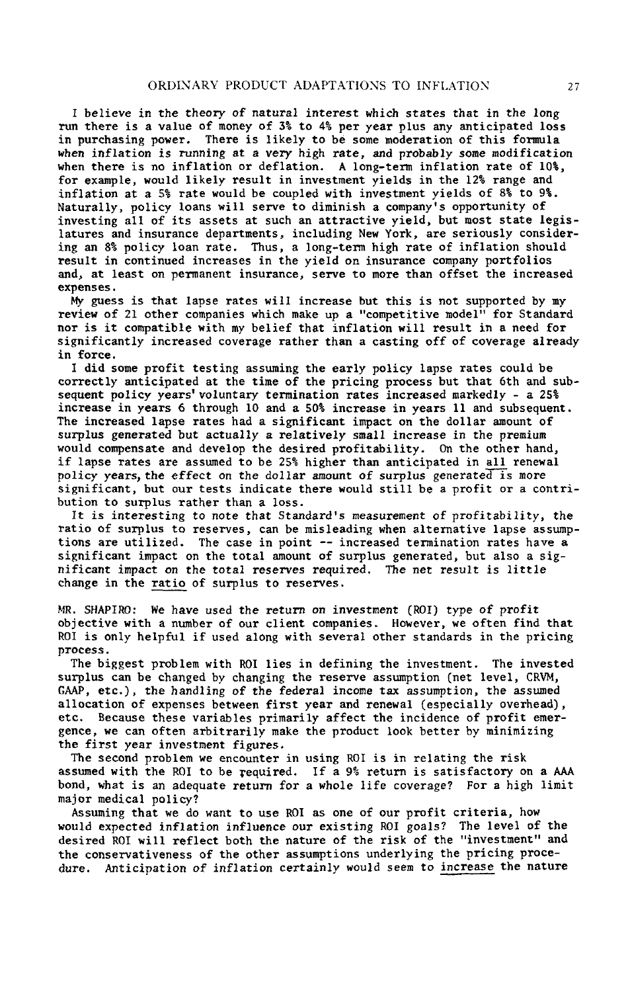I b**el**i**eve** i**n** th**e t**he**o**ry **o**f **natur**a**l** i**nter***e*s**t** which **s**ta**tes t**ha**t** in th**e** l**on**g run **t**here is a value of money of 3% **t**o 4% pe**r** *y*ear plus any anticipa**t**ed loss There is likely to be some moderation of this formula **w***hen* i*n*flatio*n* is r*u*n*n*i*n*g at a v*e*ry high **r**a**t***e,* and probably *s*om*e* m**o**dification wh**e**n **t**h**ere** is **no** inflation **or** defla**t**i**o**n*.* A l**o**ng-ter**m** i**n**flation **r**ate **o**f 10**%**, f**o**r example, **w**o*u*ld likely res*u*lt in i**n**vestme**n**t yields i**n t**he 12**%** r**a**nge and inflatio**n** a**t** a **5%** rate **w**ould be coupled **w**it**h** inves**t**ment yields of 8**% t**o 9**%**. Nat*u*rally, policy loa**n**s **w**ill serve to dimi**ni**sh **a** compa*n*y**'**s opport*un***it**y o**f** investing all **o**f its as**s**e**t**s a**t** s**uc**h an a**tt**ractive yield, but most state le**g**i**s**latures and ins*u*rance departmen**t**s*,* includin*g* Ne**w** York*,* are se**r**iou**s**ly con**s**idering an 8% policy loan ra**t**e. Thu**s***,* a long**-**t**e**rm high **r**a**t**e of infla**ti**on should **r**e**s**ult in continu*e*d increase**s** in th**e** yield on insurance company portfolios and*,* at least o**n** permanent i**ns**u**ra**nce*,* s**e**rv**e** to mo**re** than offset th**e** inc**re**as**e**d expenses.

My gues**s** is **th**a**t** lapse rat**es w**ill i**n**crease but **t**his is no**t** supported by my revie**w** o**f** 21 o**t**her co**m**panies **w**hich make up a "c**o**mpe**t**i**t**iv**e** model" f**o**r Stan**d**ar**d** no**r** is i**t c**o**m**patible **w**ith my belief that infl**a**tion **w**ill result in a need fo**r** significantly increased coverage rather than a cas**t**ing off of coverage already in force.

I **d**i**d s**om**e** p**ro**fit **t**es**t**ing as**s**uming the ea**r**ly policy lapse **r**at**e**s **c**ould be correctly anticipated a**t t**he time of **t**he pri**c**in*g* p**r**o**c**e**s**s bu**t t**ha**t** 6th and **s**ub**se**qu**en**t p**o**licy y**e**ars' **vo**l*u***n**tary termi**na**ti**o**n **ra**t**e**s incr**eased m**arkedly - **a 25%** in**c**rease in years 6 th**ro**ugh 1**0** a**nd** a **50%** inc**r**ease in yea**r**s 11 an**d** su**b**sequ**e**n**t.** The in**cr**ease**d** laps**e** rat**e**s ha**d** a signifi**c**ant im**p**act **o**n **t**he **do**lla**r** amoun**t of s***u*rplus ge**n**erated b*u*t actu**a**lly a r**e**l**a**ti*v*el*y* s**ma**ll incre**a***s*e in th**e** p**r**emium would co*m*pensate and develop **t**he desired pr**o**fit**a**bility. On **t**he **o**ther hand, **i**f lapse rates are assumed to be 25% higher than anticipated in all rene**w**al policy *y*ears, the effect on the d*o*llar **a***m*oun**t** o**f** s*u*rpl*u*s *g*enerated is more signi**f**ican**t**, but our tests indi**c**ate **t**here **w**ould still be a pr**o**fit or a contribution to surplus rather than a l**o**ss.

It is int*e*r*e*sti*n*g to *n*ote th*a*t Sta*n***d**a**rd**'*s* mea*s*ur*e*m*e***n**t of p**r**ofitabilit*y*, **t**he ratio o**f** surplus to **r**eserves, ca**n** be m**i**sleading when alternative lapse ass*u*mpti**o**ns are utilized. The case in p**o**int -- increased termination rates have a signi**f**ican**t** i*m*pac**t** on the to**t**al amo*u*nt o**f** surplu*s* **g**ene**r**a**t**ed*,* but also a si*gn*i**f**ica*n*t impact o*n* the total r**e***s*erve*s* req*u*i**r**ed. The *n*et re*su*lt is lit**t**l**e** chan*g*e in **t**he **ratio** of surplus to reserves.

\_*4*R. SHAPI*R*O: We ha*v*e *us*ed the re**t**ur*n* o*n* i*n***v**e*s*tme*n***t** (ROI) **t**ype of pro**f**it objective **w**ith a n*um*ber o**f** our client companies. However, **w**e o**f**ten find that ROI is only help**f**ul **i**f used alon**g w**ith several other standards in **t**he pricing pr*o*c*es*s**.**

Th**e** biggest problem with ROI li**e**s in d**e**fining the **i**nv**e**st**m**en**t**. The inv**e**st**e**d surplus can be changed by changing the reserve assumption (net level, CRVM, **G**AAP, **etc**.), t**h**e handling **o**f t**he** fe**de**ral in**co**m**e t**ax as**s**umpti**o**n, **t**h**e** assum**ed** allocation of expens**e**s b**e**twe**e**n first y**e**ar and r**e**newal (esp**ec**ially overh**e**ad), **e**t**c**. Because th**e**s**e** variables prim**a**rily **af**f**ec**t th**e** inci**de**nce **o**f profit **e**m**e**rg**e**n**ce**, we can often arbitrarily mak**e** the produ**c**t look bett**e**r by minimizing th**e** first y**e**ar i*n***ve**s**t***m*e*n*t fig*u*res**.**

The second pr**o**blem we encounter in using ROI is in rela**t**ing the risk assumed with the ROI to be required. If a 9% return is satisfactory on a AAA bond*,* what i*s* an adequate re**t**ur*n* for a whole life cov**e**rage? **F**or a hi*g*h limit major medical policy?

Assuming that we do want to use ROI as one of our profit crit**e**ria*,* how **w**ould expected inflation infl*u*e**nc**e *ou*r **e**xisting ROI g**o**als? The level **o**f the des**ir**e**d R**0I will r**ef**lect both th**e** na*t***u**r**e of** th**e r**isk **of** th**e** "inve**s**tmen**t**" an**d** the conservativeness of the o*t*her assumptions underlyin*g* the pricin*g* proced*u*re. A*n*ticipatio*n o*f i*n*flation certainly would see*m* **t**o i*ncrease* the nature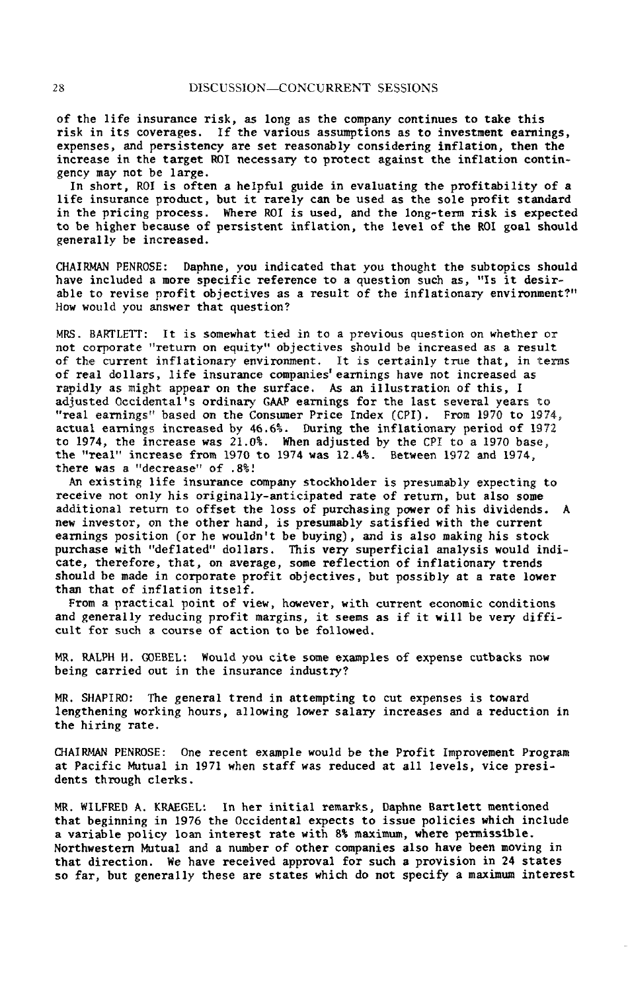of the lif**e** insurance risk*,* **a**s l**o**ng **a**s t**h**e c**o**m**pa**ny **c**ontinu**e**s to t**a**ke this **ris**k **in its covera**g**es.** If t**he** v**ariou**s **a**s**s**umption**s a**s **to** in**vest**m**ent ea**r**ni**ngs, expenses, and persistency are set reasonably considering inflation, then the inc**re**as**e** in the targ**e**t ROI n**e**c**e**ssary t**o** prot**e**ct against the inflati**o**n c**o**nting**e**ncy may not be **l**arge.

In short, **R**01 is o**f**ten **a** h**e**lp**f**ul guid**e** i**n e**v**a**lu**at**ing th**e** pro**f**it**a**bility o**f a** li**f**e **i**nsuran**ce** produ**ct**, but **i**t r**a**r**e**ly **c**an be us**e**d as th**e** sol**e** pro**f**it st**a**nd**a**rd in th**e** pri**c**ing pro**ce**ss. Wh**e**re ROI is us**e**d, and th**e** long-te**r**m risk is **e**xp**ec**ted to be higher bec**a**use o**f** pe**r**sistent in**f**l**a**t**i**on, the level of the ROI go**a**l s**h**ould g**e**n**e**r**a**lly b**e** in**c**re**a**s**e**d.

CHAIRMAN PENROSE: D**a**phne, you indi**cat**ed th**a**t you **t**hough**t t**he sub**t**opi**c**s should hav**e** in**c**luded **a** mo**re s**p**eci**f**ic** refer**e**n**ce t**o **a** qu**e**st**i**on su**c**h as, "Is it d**esira**bl**e** to revis**e** pro**f**it obje**c**tives **a**s **a** result of **t**he infl**a**tionary **e**nv**i**ronmen**t**?" How would you **a**ns**w**er th**a**t ques**t**ion?

MRS**.** BARTLETT: I**t** is **s**om**e**wha**t t**ied i**n to** a pr**evi**ous q**ue**stion on w**het**h**er** or not **c**orporate "re**t**urn on equi**t**y" ob**j**e**ct**ives should be in**c**re**a**sed as **a** r**e**s**u**l**t** of **t**he **c**ur**r**ent inflati**o**na**r**y **e**nviron**m**ent. I**t** is **ce**rtai**n**ly **tr**ue t**ha**t, in terms o**f** re**a**l doll**a**rs, life insur**a**n**c**e **c**omp**a**nies'e**a**rnings have no**t** in**cre**as**e**d **a**s rapidly **a**s might **a**pp**ear** on the sur**fac**e. As **a**n illus**t**r**at**ion of this, I **a**dj**u**st**e**d O**cc**id**e**ntal's o**r**din**a**r**y**, GAAP earnings f**o**r th**e** las**t** sev**e**ral years to "real **e**arnings" b**a**sed on **the** Consumer Pri**c**e Ind**e**x (CPI). Fr**o**m 1970 **t**o 1974\_ **ac**tual earnings in**c**re**a**s**e**d by **4**6.6%. During th**e** inflationary period of 1972 to 1**9**7**4**, the in**c**r**e**ase w**a**s 21.**0**%. Wh**e**n **a**djust**e**d by th**e C**PI to **a** 1**9**70 b**a**se\_, th**e** "**r**eal" in**c**r**e**as**e** from 197**0** t**o** 19**74** was 1**2.4**%. B**etwee**n 1**9**72 **a**nd 1**9**74, **there wa**s **a** "**dec**r**ea**s**e**" Of **.8%**!

An **ex**is**t**i**n**g life i**n**s**uranc**e **co**mp**an**y st**oc**k**ho**l**der** is presum**a**bly **ex**pe**ct**i**n**g **to** r**ece**iv**e** not only his origin**a**lly-**a**n**t**i**c**ip**a**t**e**d **rate** of r**et**urn, bu**t a**lso som**e a**ddi**t**ion**a**l r**et**urn **t**o o**ff**s**et** th**e** loss of pur**c**h**a**sing power of his div**i**d**e**nds**.** A ne**w** inv**e**s**t**o**r**, on **the** o**t**h**er** h**a**nd, is **pre**sum**a**bly s**at**is**f**i**e**d **w**i**t**h **t**h**e c**ur**re**n**t ea**rnings **p**osi**ti**on (or he **w**ouldn**'t** b**e** buying), and is **a**ls**o** m**a**king his st**oc**k pur**c**h**a**s**e w**i**t**h "**def**l**at**ed" doll**a**rs. This very sup**e**r**f**i**c**i**a**l **a**n**a**lysis **w**ould ind**icate, t**h**e**refo**re**, **t**h**at**, on **a**v**era**g**e**, som**e** r**e**fl**ect**ion of infl**at**ion**a**ry **t**r**e**nds sho**u**ld be m**a**d**e** in **c**orp**o**r**ate pr**o**f**i**t** obj**ec**tiv**e**s, b**ut** possib**l**y **at** a **rate** l**owe**r th**a**n **t**h**at** of infl**at**ion i**t**self.

Fr**o**m **a** pr**ac**ti**ca**l p**o**int **o**f v**ie**w, how**ever**, w**i**th **cu**rr**e**n**t** e**co**n**o**m**ic c**ond**it**ions **a**nd gener**a**lly reducing profit m**a**rgins, it s**e**ems **a**s if i**t** will b**e** very diffi**c**ult for su**c**h a **c**ou**r**se of **ac**tio**n t**o b**e** followed.

MR. RALPH H. GOEBEL: Would you **c**ite some example**s** of expense **c**utba**c**ks **n**o**w** being **carr**i**e**d out in th**e** insur**a**n**ce** industry?

MR. SHAPIRO: The gen**e**r**a**l trend in **a**t**te**mpting to **c**ut expenses is tow**a**rd length**e**ning working hours, **a**llo**w**ing lo**we**r s**a**l**a**ry in**c**r**e**ases and **a** r**e**du**c**tion in the hiring r**a**te.

CHAIRMAN PENROSE: One r**ec**ent ex**a**mple would be th**e** Profi**t** Improvemen**t** Progr**a**m **at** P**ac**ifi**c** Mu**t**u**a**l in 1**9**71 when staff w**a**s r**e**du**ce**d **a**t a11 l**e**v**e**ls, vi**ce** presidents thro**u**gh **c**lerks.

MR. WI**L**FRED A. KRAEGEL: I**n** he**r** initi**a**l rem**ar**ks, D**a**phne **Ba**rtlett me**n**t**i**o**n**ed th**a**t b**e**ginning in 1976 th**e** O**cc**iden**ta**l **e**xpe**c**ts to issu**e** poli**c**i**e**s whi**c**h in**c**lude **a** v**ar**i**a**b**le** po**lic**y **l**oan i**n**te**re**st **ra**t**e** wi**t**h 8% m**a**ximum, **w**h**ere** p**e**rmissibl**e**. North**we**stern Mutu**a**l **a**nd **a** numb**e**r of oth**er c**omp**a**ni**e**s also h**a**v**e** b**ee**n moving i**n** th**a**t dir**ec**tion. We h**a**v**e** r**ece**ived **a**pprov**a**l for su**c**h a prov**i**sion in **24** s**tate**s so f**a**r, but gen**e**r**a**lly th**e**se **a**r**e** st**a**t**e**s **w**hi**c**h do not sp**eci**fy a m**a**x**i**mum interest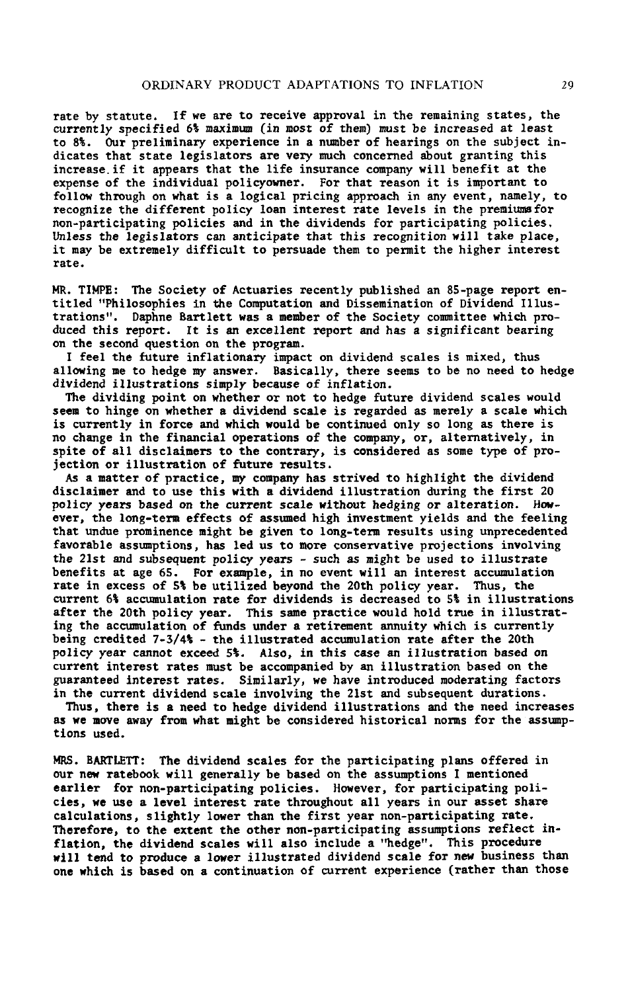**rate** by **statute. I**f w**e** a**re** t**o rece**i**ve ap**p**roval** in th**e rem**aining **states***,* **t**h**e curren**tl*y* sp**ec**ifi**ed** 6\_ m**a**xim*u*\_ (i**n** m*o*s**t o**f **t**h**e**m) *mu*s**t** be i**ncrea***s***e**d a**t** l**ea**st t**o 8**\_**. Our** p**reli**min**ar**y **e**xp**erience** in **a** n**tn**\_b**er o**f h**earin**g**s on t**h**e s**ub**ject** i**nd**i**cates** t**hat sta**t**e leg**is**lator**s **are ver**y **muc**h c**o**n**cer**n**ed about gran**ti**ng th**i**s increase,** if **it ap**p**ear**s **t**h**at the l**i**fe** i**n**s**urance c**omp**a**ny **will benef**i**t** a**t** th**e e**x**pen***s***e of the** i**ndividual** p**ol**i**c**y**o**w**ner.** F**or that rea***s***on it** i**s im**p**ortant to** follow through on what is a logical pricing approach in any event, namely, to **recognize the d**i**fferent pol**i**c**y **lo**a**n interest rate l**e**vel**s i**n the** p**re**mi*u***ms for non-par**ti**ci**p**at**i**ng** p**ol**i**cie**s a**nd in t**h**e div**i**dends** f**or** p**a**rti**c**ip**ating** p**ol**i**c**i**e***s***. U**n**le**ss th**e** l**e**gis**l**a**tors c**an an**t**i**c**ip**at**e **t**ha**t t**hi**s reco**g*n*i**t**i**on** will **t**ak**e** pl**ace,** it m**a**y **be extre**m**el**y dif**f**ic**u**lt **to** p**ers**u**ade them** t**o** p**erm**i**t** th**e h**ig**her** int**e**r**e**s**t rate**.

MR. TIMPE: The Society of Actuaries recently published an 85-page report ent**itled "Ph**i**losop**h**ie**s i**n** t**he Co**m**pu**t**a**ti**on** an**d D**i**ssem**in**at**i**o**n **o**f **D**i**v**i**dend Illus**t**rat**i**o**ns"**. Daphne Ba**rt**le**tt w**as a** m**e**mb**er o**f **t**h**e Soc**i**ety c**ommi**ttee** w**h**i**ch** p**ro**d**u***c***e**d **th**is **rep**o**rt.** It i**s** an **ex**c**e**ll**en**t rep**o**rt and has a sig**n**ifi**c**ant b**ea**r**in**g **o**n th**e** s**ec**ond **q**u**e**s**t**ion on **t**h**e pr**og**r**am.

**I** f**ee**l **t**h**e** fu**ture** inf**lat**io**na**ry imp**ac**t on d**i**v**i**d**e**nd s**ca**l**e**s is mix**e**d, **t**hus **a**llo**w**lng m**e t**o h**e**dg**e** my **an**s**wer**. B**a**s**icall**y**, t**h**ere** s**ee**ms **t**o b**e** no **nee**d **t**o h**e**dg**e** divi**de**nd illus**tra**tions simpl**y beca**us**e** of in**f**l**at**ion**.**

Th**e** dividin**g p**oint on wh**et**h**er** or not to h**e**dg**e f**u**t**u**re** divid**e**nd s**ca**l**e**s wou**l**d **see**m **t**o hin**ge** on **w**h**et**h**er a** divid**e**nd s**ca**l**e** is **re**g**ar**d**e**d as m**e**r**e**ly **a** s**cale** wh**i**ch i**s c**u**r**r**e**ntly in **f**o**rce a**nd which **w**ould b**e c**on**t**inu**e**d only so long as th**ere** is no **cha**ng**e** in **t**h**e** finan**c**i**a**l o**perat**ions of th**e c**omp**an**y, o**r**, **a**l**te**rn**at**i**ve**ly, in s**p**i**te** of **a**ll dis**cla**im**er**s to t**he c**ont**rar**y, is **c**onsid**e**red **a**s som**e** typ**e** o**f** pr**o**j**ec**tion or ill**u**str**at**ion of **f**utu**re re**sul**t**s.

As **a** m**a**t**ter** o**f** pr**ac**ti**c**e, my **c**om**pa**ny h**a**s s**t**riv**e**d to highlight th**e** divid**e**nd **d**is**clai**m**er** and **t**o us**e t**his wi**t**h **a d**i**v**i**de**nd i**ll**ustr**a**t**i**on **d**u**r**ing **t**h**e** first 2**0** pollcy yea**r**s b**a**s**ed** o**n** the **curre**n**t** s**ca**l**e** wit**h**o**u**t h**e**dging or al**tera**tio**n.** How**ever**, **the l**ong**-te**rm **e**ff**ec**ts of assum**e**d high in**ve**stm**e**nt yi**e**lds **a**nd **t**h**e feeli**ng th**at** undu**e p**rom**i**n**e**n**ce** mi**g**h**t** b**e** gi**ve**n **t**o long-**te**rm **re**sults using unp**rece**d**e**n**te**d **fa**vo**ra**bl**e a**ssum**p**tions, h**a**s l**ed** us to mo**re c**ons**er**v**a**tiv**e** proj**ec**tions in**v**o**lvi**ng **t**h**e 2**1s**t** and subs**e**quen**t** poli**cy** y**e**a**rs** - su**c**h as migh**t** b**e** us**e**d **t**o illustr**ate** b**e**n**ef**i**t**s **at age** 65. Fo**r e**x**a**mpl**e**, in no **e**v**e**n**t** will **a**n in**te**r**e**s**t acc**umu**lat**ion r**a**t**e** in **e**x**ce**ss of **S**I b**e** uti**l**iz**ed** b**e**yond th**e 2**0th poli**c**y y**ear**. Thus, **t**h**e** curr**e**n**t** 6\_ **acc**umul**at**ion **ra**t**e** for di**v**id**e**nds is d**ecrea**s**e**d to **5**\_ in illustr**at**ions **af**t**er** the **20**th **p**olicy y**ear**. This s**a**m**e pract**i**ce w**ould ho**l**d **t**ru**e** in i**l**lus**trat-**Ing th**e acc**umul**at**ion of funds und**er a re**ti**re**m**e**nt **a**nn**u**ity w**h**ich is **c**u**rre**ntly b**e**ing **c**r**e**dit**e**d 7-**5**/**4**\_ - **t**h**e** illust**ra**t**e**d **acc**umul**at**ion **rate after t**h**e 2**0th p**ol**i**cy ye**ar canno**t excee**d 5\_**.** Als**o**, i**n t**hi**s case** an illu**st**r**at**ion **b**as**ed on c**u**r**r**e**n**t** int**ere**st **ra**t**e**s must b**e acc**om**pa**ni**e**d by an illus**tra**tion bas**e**d on th**e** gu**aranteed** i**ntere**s**t rate**s**.** Simil**a**rly, w**e** h**a**v**e** i**nt**ro**duce**d m**o**d**er**a**t**i**n**g **fact**o**r**s in the current dividend scale involving the 21st and subsequent durations.

Thus, **t**h**ere** is **a** n**ee**d **t**o h**e**dg**e** divid**e**nd illus**trat**ions and **t**h**e** n**ee**d in**crea**s**e**s as w**e** mo**ve awa**y **fr**om wh**at** might b**e c**ons**i**d**ere**d h**i**s**t**o**rica**l norms fo**r t**h**e** assumptions us**ed.**

MRS**. B**ART**LE**TT**:** Th**e** div**i**d**e**nd s**ca**les for **t**h**e** p**a**rti**c**ip**ati**ng plans o**ffe**r**e**d in our now ratabook w**i**ll g**e**n**era**lly b**e** b**a**s**e**d o**n t**h**e** as**su**mp**t**ions I m**e**n**t**ion**e**d **earl**i**er** f**or** non-**part**i**c**lp**at**in**g** po**l**i**cie**s**. However***,* fo**r pa**rti**c**ip**at**ing **p**o**l**i**c**i**es***,* we **use a level interest rate** t**h**r**oughout all years** i**n** o**ur** as**se**t **share calculat**i**o**ns*,* s**l**i**ghtl**y **l**ow**er** t**h**an **the f**i**rst year no**n**-part**i**c**i**pat**i**ng rate.** Therefore, to the extent the other non-participating assumptions reflect inf**la**t**lon***,* t**he d**i**vide**n**d** s**cales** wi**ll also** i**nclude a '**\_**edge**"**.** Thi**s p**ro**cedure** wi**ll tend** t**o** p**roduce a l**ow**er** ill**u***s*t**r**at**ed dividend** *s***cale for new bus**i**ness than o**ne w**h**i**ch** i**s based o**n **a con**ti**nua**ti**o**n **o**f cu**rren**t **ex**p**er**i**e**n**ce (ra**th**er than those**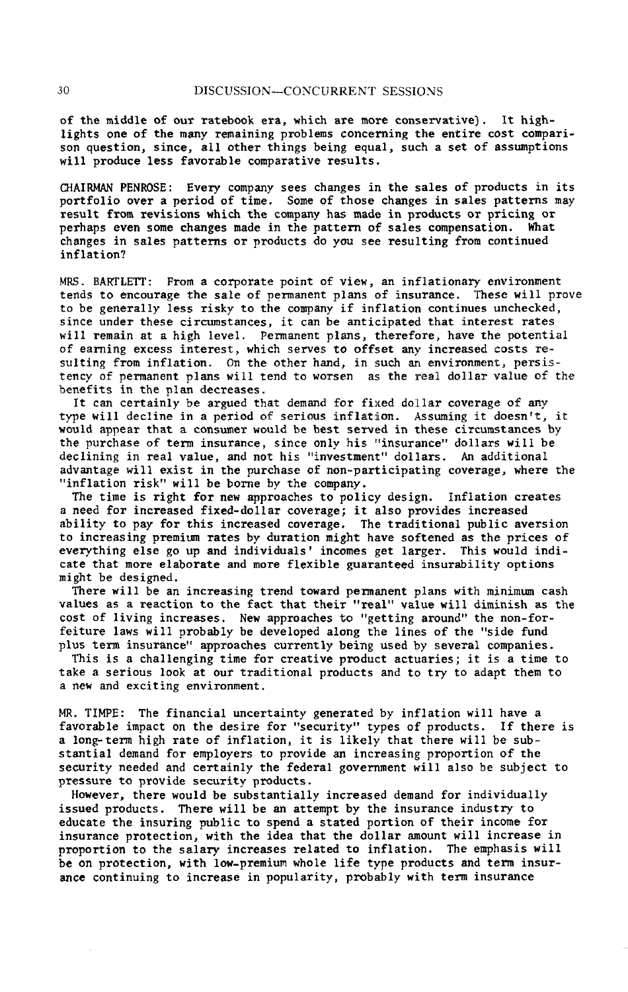of the middl**e** of our rat**e**book er**a**, wh**ich a**r**e m**ore **c**o**n**servativ**e**). It h**i**ghlights on**e** of th**e** m**a**ny rem**a**ining problems **c**on**c**erning th**e e**ntire **c**ost **c**omp**a**rison qu**e**stion, sin**ce**, **a**ll oth**e**r things b**e**ing equ**a**l, su**c**h **a** set of **a**ssumptions will produ**ce** l**e**ss f**a**vor**a**bl**e c**omp**a**r**a**tive results.

CHAIRMAN PENROSE: Ev**e**ry **c**omp**a**ny se**e**s **c**h**a**ng**e**s in the s**a**les of produ**c**ts in its portfolio ov**e**r **a** period of time. Som**e** of thos**e c**h**a**ng**e**s in s**a**l**e**s p**a**tt**e**rns m**a**y r**e**sult from r**e**visions whi**c**h th**e c**ompany has made in prod**uc**ts or pr**ici**ng or p**e**rh**a**ps ev**e**n some **c**h**a**ng**e**s m**a**de in the p**a**tt**e**rn of s**a**l**e**s **c**omp**e**ns**a**t**i**on. Wh**a**t **c**h**a**ng**e**s in s**a**l**e**s p**a**tt**e**rns or produ**c**ts do you s**ee** resulting from **c**ontinu**e**d infl**a**tion?

MRS. BARTLETT: From **a c**orpor**a**te po**i**nt of v**i**ew, **a**n infl**a**t**i**on**a**ry env**i**ronment t**e**nds to en**c**our**a**g**e** the s**a**le of perm**a**n**e**nt plans of insur**a**n**c**e. Th**e**se w**i**ll prove to be gen**e**r**a**ily l**e**ss **ri**sky to th**e c**omp**a**ny **i**f infi**a**tion **c**ontinues un**c**he**c**k**e**d, sin**c**e und**e**r th**e**se **c**ir**c**umst**a**n**ce**s, it **c**an b**e a**nt**ici**p**a**ted th**a**t interest r**a**tes will r**e**m**a**in **a**t **a** high level. Permanent pl**a**ns*,* **t**herefore*,* h**a**ve the potential of e**a**rning ex**ce**ss in**ter**est*,* w**h**i**c**h s**e**rves **t**o **of**fs**et a**ny in**crea**sed **co**sts **r**esuiting fr**o**m infl**a**ti**on**. On **t**he **o**ther hand*,* in s**u**ch \_t environment*,* persisten**c**y **o**f p**e**rm**a**nen**t** plans **w**ill tend to **wo**rs**e**n **a**s **t**he re**a**l d**o**llar v**a**lue of the benefits **i**n the plan de**c**re**a**ses.

It **c**an **c**ert**a**inly be argued that demand for fixed dollar **c***o*verage of any typ**e** will de**c**line in a p**e**riod of s**e**rious i**n**f**l**ati**o**n. Assuming it d**oe**sn't, it **w**ould a**p**p**e**ar that a **c**o**n**s**u**m**e**r would b**e** b**e**st se**r**ved **i**n th**e**se **circ**umst**a**n**ce**s by th**e** pur**c**h**a**s**e** of t**e**rm **i**nsu**ra**n**ce,** sin**c**e only his "**i**nsur**a**n**ce**" doll**ar**s will be d**e**clining in r**ea**l v**a**lu**e**, and not his "i**n**v**e**stm**e**nt" doll**ar**s**.** An **a**ddit**i**on**a**l **a**dvan**ta**ge will **e**xist in **t**h**e** pur**c**h**a**se of non-p**ar**ti**c**ip**a**ting **c**o**ve**r**a**ge, **w**h**e**r**e** sh**e** "inflation **r**isk" **w**ill b**e** born**e** by t**he c**ompany.

Th**e** tim**e** is right for new **a**ppro**ac**h**e**s to po**l**i**c**y d**e**sign. Infl**a**tion **crea**t**e**s **a n**e**e**d fo**r** in**crea**sed fix**e**d-doll**a**r **c**ov**e**rag**e; i**t **a**lso p**r**ovid**e**s **i**n**crea**s**e**d **a**bil**i**ty to p**a**y for this in**crea**s**e**d **c**ov**era**g**e.** Th**e** t**ra**di**t**ion**a**l publi**c a**v**er**sion **t**o in**crea**sing **pre**mium **ra**t**e**s by du**rat**ion migh**t** h**a**v**e** soft**e**n**e**d **a**s **t**he pr**ice**s of **e**verything **e**ls**e** go up **a**nd individu**a**ls' in**c**om**e**s get l**ar**g**e**r. This would indi**ca**t**e** t**ha**t mo**re e**l**a**bo**ra**t**e a**nd mor**e** fl**e**xibI**e** gu**ara**nt**ee**d **i**nsu**r**ab**i**lity options might be d**e**sign**e**d.

Th**ere w**ill b**e a**n in**crea**s**i**ng t**re**nd to**wa**rd p**e**rm**a**n**e**n**t** pl**a**ns **w**ith m**i**n**i**mum **ca**sh v**a**l**ue**s **a**s **a** re**ac**tion to the **fac**t th**a**t t**h**eir "**r**e**a**l" v**a**lue will dimin**i**sh as the **c**os**t** of l**i**ving in**c**r**ea**s**e**s. N**ew a**ppro**ac**hes to "getting **a**round" **t**h**e** non-fo**r**f**e**i**t**ur**e** l**aw**s will p**r**obably be develop**e**d **a**long the lin**e**s of th**e** "sid**e** fund p**l**us t**e**rm insura**nc**e" **a**ppro**ac**h**e**s currently b**e**ing used by s**e**v**e**r**a**l **c**omp**a**n**ie**s.

This is **a c**h**a**llenging time for **c**re**a**tive produ**c**t **ac**tu**a**ries; it i**s a** tim**e** to t**a**k**e a** s**e**riou**s** look **a**t our tr**a**ditional produ**c**ts and to try to **a**d**a**pt them to **a** new **a**nd **e**x**c**iting environment.

MR. TIMP**E**: The finan**c**i**a**l un**c**ert**a**inty g**e**n**e**r**a**t**e**d by infl**a**tion will h**a**ve **a** fa**vora**ble impa**c**t on **t**he d**e**s**ire** fo**r** "se**c**u**ri**ty" **t**ypes of p**ro**du**c**ts. **I**f th**er**e **i**s a long-t*e*rm high rate of **i**nflat**i**on, it is l**i**kely that ther**e** w**i**ll b**e** substant**i**al d**e**mand for employers to provide an in**c**reasing p**r**opo**r**tion of the se**c**u**r**ity needed and ce**r**ta**i**nly the fede**r**al gov**e**rnment will also be subj**e**ct to press**u**r**e** t**o** pro**vi**d**e** sec**u**rity pro**d**u**ct**s**.**

Ho**we**ver, th**e**re would b**e** substanti**a**lly in**c**r**e**as**e**d d**e**m**a**nd for indiv**i**du**a**lly issu**e**d produ**c**ts. Ther**e w**£11 b**e a**n **a**tt**e**mpt by the **i**nsuran**ce** industry to **e**du**ca**te th**e** insuring publi**c** to spend **a** st**a**t**e**d port**i**on of their **i**n**c**ome for insur**a**n**ce** prot**ec**tion, **w**ith th**e** id**ea** th**a**t th**e** doll**a**r **a**mount **w**ill in**c**re**a**s**e** in proportion to th**e** sal**a**ry in**c**re**a**ses r**e**l**a**t**e**d to infl**a**tion. Th**e e**mph**a**sis **w**ill b**e** on prot**ec**tion, with lo**w**-pr**e**mium **w**hol**e** l**i**f**e** typ**e** produ**c**ts **a**nd term insurma**c**e **c**ontinuing to in**c**re**a**se in popul**a**rity, prob**a**bly **w**ith term insur**a**n**ce**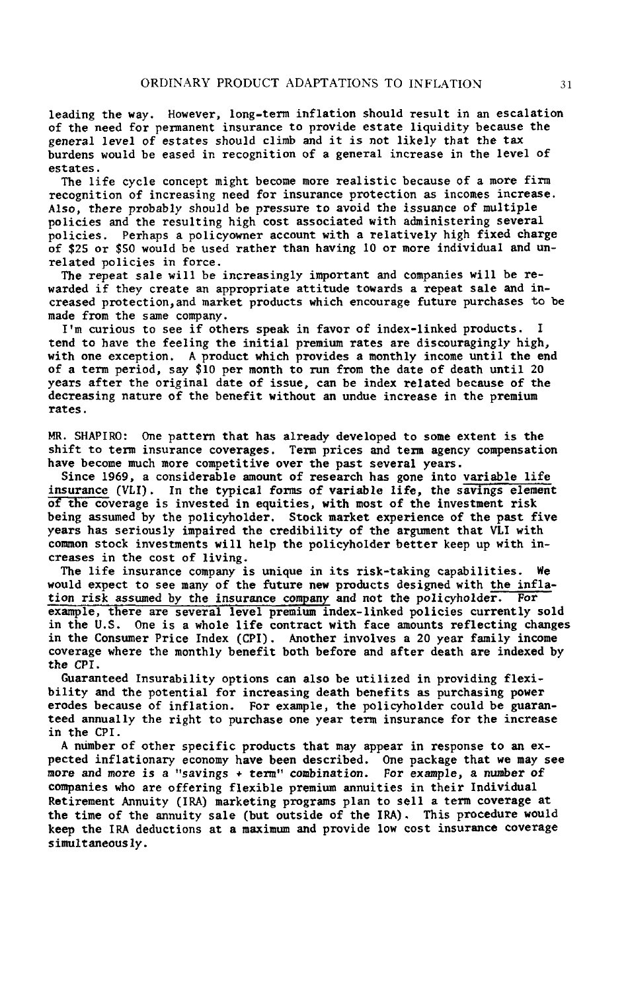**l**e**a**d**i**ng the **w**ay**.** H**o**w*e*v**e**r*,* **l**on**g-**t*e***r**m in**fl**at**i**on shoul**d** result **in** an escala**t**ion **o**f **t**h**e nee**d **for** p**e**rm**a**ne**nt** in**sur**a**n**ce **to** p**rov**i**d**e **estate** l**iqu**idi**t**y b**ecause t**h**e** g*e*n*e*ral l*e*v*e*l *o*f *es*tat*e*s *s*h*o*uld climb and it is n*o*t **l**ik*e***l***y* that th**e** tax b**ur**dens **w**ou**l**d b**e eas**ed **i**n **re**cog**n**it**i**on of **a** g**enera**l i**n**c**rease i**n **the level of es**t**a**t**es.**

**T**h**e** lif**e c**y**c**l**e conce**p**t m**ight **be**c**ome** m**ore rea**listi*c* **because o**f **a** m**o**r**e** f**irm re***c***o**g**n**iti**on o**f i**ncreas**i**ng need** f**or** i**nsurance** p**rotec**ti**on as** i**nco**m**es** i**ncrease.** A**ls**o**,** th**ere** pr**ob**a**b**ly **s**h**o**uld b**e** p**re**ss**u**re t**o** av**oi**d the i**s**su**a**n**ce of** m**ul**tip**le** p**olicie**s and **the r**e**sul**t**i**ng h**i**gh c**o**st a**ssoc**iated w**i**th adm**i**n**i**st**e**r**in***g* **sever**a**l** poli**c**ies. P**e**rhaps a poli**c**yown**e**r a**cc**ount with **a** r**e**lat**i**vely h**i**gh fixed **cha**r**g**e **o**f **\$**25 **o**r **\$**50 wou**l**d be used rather than having I0 **o**r m**o**re individual and unr**el**ated po**l**i**cies** in f**o**rce.

Th**e r**ep**e**at sal**e w**ill b**e** i**ncr**e**a**sing**l**y imp**o**rtant an**d** c**o**mp**a**ni**e**s will b**e re**wa**r**de**d i**f **the**y **cre**ate a**n** app**ro**pr**i**ate a**tti**tude t**ow**a**r**ds a **re**p**e**at **s**al**e** and incr**e**a**se**d prot**e**cti**o**n, a**n**d ma**r**k**e**t p**r**oduct**s** which **e**ncou**r**ag**e** futur**e** purc**h**as**e**s t**o** b**e** ma**de fro**m **t**he sam**e co**mpa**n**y**.**

I**'**m cu**r**i**o**us t**o** s**ee** i**f others** sp**e**a**k** i**n fa**v**or of in**d**e**x-**linked pro**d**uc**ts**. I** tend to have the feeling the initial premium rates are discouragingly high, **with one exce**p**tion. A** p**roduct which** p**rov**id**e**s a m**onthl**y i**ncom**e **unti**l t**he end** of **a** t**e**rm p**erio**d*,* s**a**y **\$1**0 p**e**r **mo**nt**h t**o run f**rom the** d**a**t**e of** d**ea**t**h** u**n**til 20 y**ea**rs **a**fter **t**h**e** o**r**igi**nal da**t**e of issue***,* **can** b**e** ind**ex relate**d **because of** t**he** d**e**c**r**eas**i**ng n**a**t**ur**e of th**e** b**ene**fi**t w**ith**o**ut an **u**n**du**e inc**re**as**e i**n th**e** p**re**m**i**um rat**es.**

MR. SHAPIRO: One pattern that has already developed to some extent is the shi**f**t to **te**rm i**n**s**ur**an**ce co**v**era**g**es. Te**rm *p***r**i**ces an**d t**er**m **agenc**y **co**m*p***ensat**i**on have beco**m**e** m**uch** m**ore co**mp**et**i**t**i**ve o**v**er** t**he** past s**everal** y**ears.**

Si**nce 19**6**9***,* **a cons**id**e**r**able** am**oun**t **o**f **research h**as g**one** i**nto varia**b**le life insurance (***V***LI**)**. I**n t**he** typi**c**a**l** f**or**ms **o**f **var**ia**ble** lif**e***,* t**he** sa**vings e**l**e**m**ent o**f t**he** c**overage i**s in**vested** i**n eq**uiti**e**s*,* **with mo**s**t o**f **the inve**stm**ent r**is**k be**i**ng** as**s**um**ed b**y th**e pol**icy**holder.** St**o**c**k** m**arket e**x**per**i**en**c**e of** th**e** *p***ast five** y**ears has** s**er**i**ousl**y **i**mp**aired** t**he** c**r**e**dibilit**y o**f the arg**um**ent** that **VLI** wit**h** co\_**on** s**toc**k **inv**e**st**m**e**n**t**s w**ill help** t**he** p**o**l**ic**y**holder better k**e**e**p **u**p **with increases** in **the co***s***t of liv**i**ng.**

Th**e** li**fe** ins**ura**n**c**e **c**ompany **i**s **u**n**i**q**ue i**n its **ri**sk-t**aki**ng **ca**p**a**bi**li**ti**e**s**.** W**e** would expect to see many of the future new products designed with the inflation risk assumed by the insurance company and not the policyholder. For **i**cion risk assumed by the insurance company and not the policyholder. **e**x**a**mpl**e**, th**e**r**e are** s**e**v**era**l l**e**v**el p**r**e**mium **i**nd**e**x-link**e**d **p**oli**cie**s **c**u**rre**nt**l**y sold in th**e U**.S. On**e** is **a w**hol**e l**i**fe c**on**tr**a**ct w**ith **face am**ounts **ref**l**ec**ting **c**hang**e**s **i**n th**e** Consum**er** P**r**i**ce I**nd**e**x (CP**I**)**.** Anoth**er i**nvolv**e**s **a 2**0 y**ear** fami**l**y **i**n**c**om**e c**ov**era**g**e** wh**ere** th**e** month**l**y b**e**n**ef**i**t** bo**t**h b**ef**o**re a**nd **afte**r d**e**a**t**h **are** ind**e**x**e**d by t**he** CPI**.**

**Guar**a**nteed In**s**ura**b**ilit**y opt**i**ons **c**a**n a**lso b**e utilized in pr**o**vidin**g **flexibilit**y **and** t**he** pote**n**t**ial** fo**r increasing d**e**ath b**e**n**e**fi**ts as **purch**as**ing p**o**w**e**r** erodes because of inflation. For example, the policyholder could be guaran**teed** a**n**n**ua**l**l**y t**he right** to p**urch**as**e** o**ne** y**ear** t**e**rm **insura**n**ce f**o**r** t**he** i**ncre**as**e** in **t**h**e** CPI**.**

A n**u**mb**e**r o**f** oth**er** sp**ec**i**fic** p**r**odu**ct**s th**a**t m**a**y **a**pp**ear** in **re**spons**e t**o an **e**xp**ecte**d **i**n**f**l**a**tion**a**ry **ec**onomy **ha**v**e** b**ee**n d**e**s**cr**ib**e**d. On**e pac**k**a**g**e that we** m**a**y s**ee** more and more is a "savings + term" combination. For example, a number of **c**omp**anie**s w**h**o **are** o**f**f**er**ing **fl**exib**le** p**re**m**i**um annu**i**t**ie**s **in their I**n**divi**d**ua**l Ret**ire**m**e**nt Annu**i**ty (I**R**A**)** m**ar**k**e**ting pro**gra**ms p**la**n to sell **a** t**e**rm **c**ov**era**g**e a**t **t**he **ti**m**e** of **t**h**e** annu**i**ty s**ale** (but outs**i**d**e** o**f t**h**e** IRA**).** This pro**ce**du**re w**ould k**ee**p th**e IR**A d**e**du**c**t**i**ons **a**t **a** max**i**mum **a**nd p**r**ov**i**d**e** lo**w c**ost **i**nsu**r**an**c**e **c**ov**era**g**e** s**im**ult**a**n**eo**usly**.**